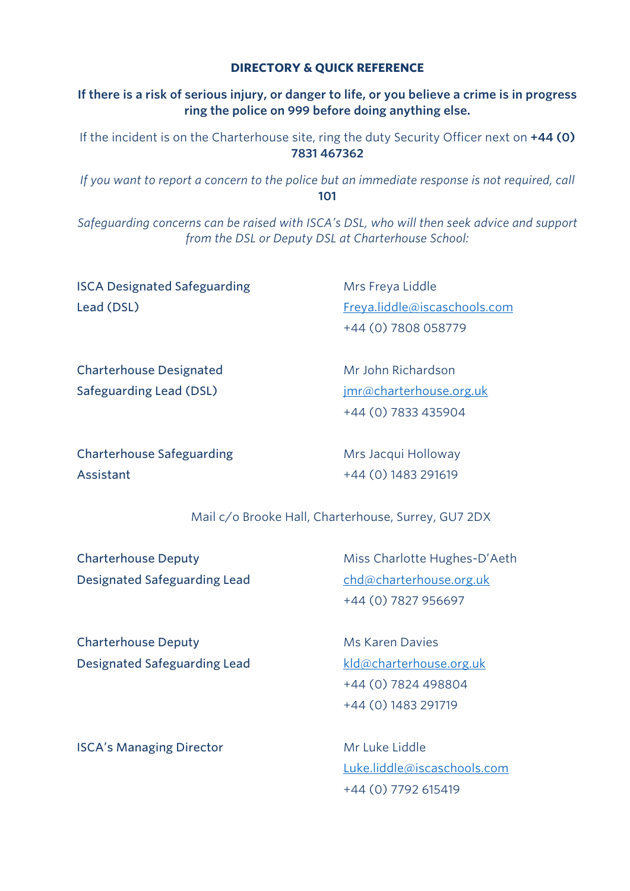#### **DIRECTORY & QUICK REFERENCE**

#### **If there is a risk of serious injury, or danger to life, or you believe a crime is in progress ring the police on 999 before doing anything else.**

If the incident is on the Charterhouse site, ring the duty Security Officer next on **+44 (0) 7831 467362**

*If you want to report a concern to the police but an immediate response is not required, call*  **101** 

*Safeguarding concerns can be raised with ISCA's DSL, who will then seek advice and support from the DSL or Deputy DSL at Charterhouse School:*

**ISCA Designated Safeguarding Mrs Freya Liddle** Lead (DSL) Freya.liddle@iscaschools.com

+44 (0) 7808 058779

Charterhouse Designated Mr John Richardson Safeguarding Lead (DSL) imr@charterhouse.org.uk

+44 (0) 7833 435904

Charterhouse Safeguarding The Mrs Jacqui Holloway Assistant +44 (0) 1483 291619

Mail c/o Brooke Hall, Charterhouse, Surrey, GU7 2DX

Designated Safeguarding Lead chd@charterhouse.org.uk

Charterhouse Deputy Miss Charlotte Hughes-D'Aeth +44 (0) 7827 956697

Charterhouse Deputy Ms Karen Davies Designated Safeguarding Lead kld@charterhouse.org.uk

+44 (0) 7824 498804 +44 (0) 1483 291719

**ISCA's Managing Director** Mr Luke Liddle

Luke.liddle@iscaschools.com +44 (0) 7792 615419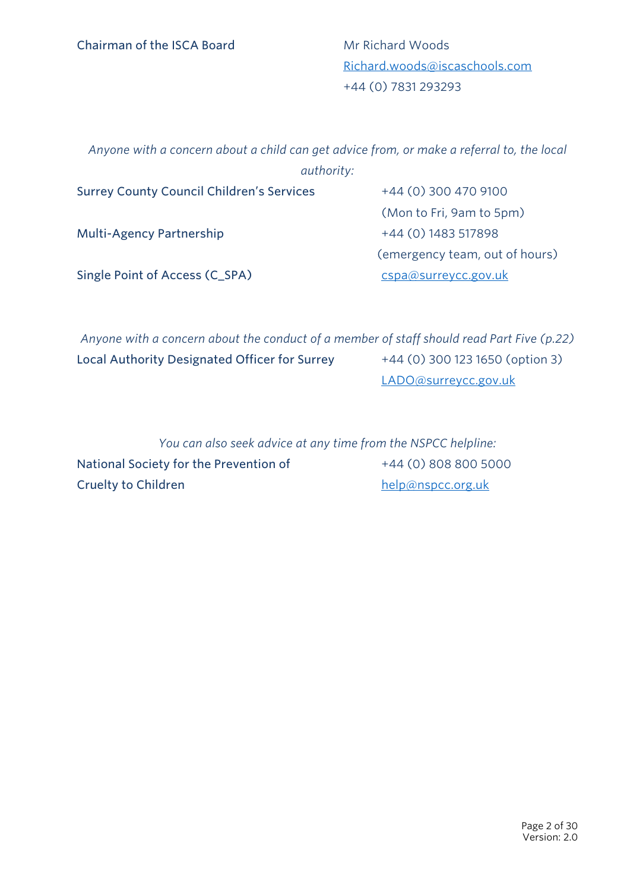Richard.woods@iscaschools.com +44 (0) 7831 293293

*Anyone with a concern about a child can get advice from, or make a referral to, the local authority:*

| <b>Surrey County Council Children's Services</b> | +44 (0) 300 470 9100           |
|--------------------------------------------------|--------------------------------|
|                                                  | (Mon to Fri, 9am to 5pm)       |
| <b>Multi-Agency Partnership</b>                  | +44 (0) 1483 517898            |
|                                                  | (emergency team, out of hours) |
| Single Point of Access (C_SPA)                   | cspa@surreycc.gov.uk           |

*Anyone with a concern about the conduct of a member of staff should read Part Five (p.22)* Local Authority Designated Officer for Surrey  $+44$  (0) 300 123 1650 (option 3) LADO@surreycc.gov.uk

*You can also seek advice at any time from the NSPCC helpline:* National Society for the Prevention of  $+44 (0) 808 800 5000$ Cruelty to Children help@nspcc.org.uk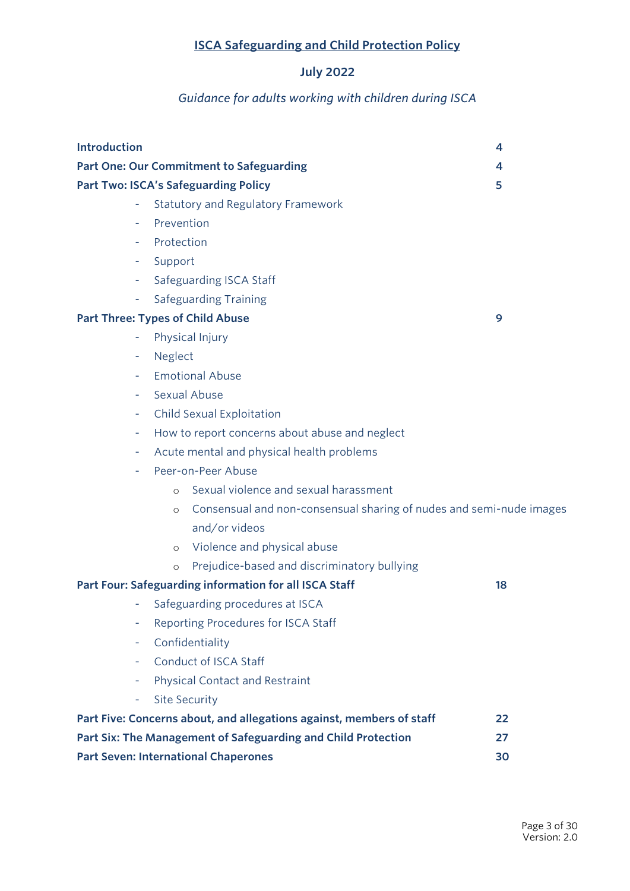# **ISCA Safeguarding and Child Protection Policy**

# **July 2022**

#### *Guidance for adults working with children during ISCA*

| <b>Introduction</b> |                                                                                | 4  |
|---------------------|--------------------------------------------------------------------------------|----|
|                     | <b>Part One: Our Commitment to Safeguarding</b>                                | 4  |
|                     | <b>Part Two: ISCA's Safeguarding Policy</b>                                    | 5  |
|                     | Statutory and Regulatory Framework                                             |    |
|                     | Prevention                                                                     |    |
|                     | Protection                                                                     |    |
| ۰                   | Support                                                                        |    |
| н.                  | Safeguarding ISCA Staff                                                        |    |
| н.                  | <b>Safeguarding Training</b>                                                   |    |
|                     | <b>Part Three: Types of Child Abuse</b>                                        | 9  |
|                     | Physical Injury                                                                |    |
| ۰                   | Neglect                                                                        |    |
|                     | <b>Emotional Abuse</b>                                                         |    |
|                     | Sexual Abuse                                                                   |    |
| ۰                   | Child Sexual Exploitation                                                      |    |
| ٠                   | How to report concerns about abuse and neglect                                 |    |
|                     | Acute mental and physical health problems                                      |    |
|                     | Peer-on-Peer Abuse                                                             |    |
|                     | Sexual violence and sexual harassment<br>$\circ$                               |    |
|                     | Consensual and non-consensual sharing of nudes and semi-nude images<br>$\circ$ |    |
|                     | and/or videos                                                                  |    |
|                     | o Violence and physical abuse                                                  |    |
|                     | Prejudice-based and discriminatory bullying<br>$\circ$                         |    |
|                     | Part Four: Safeguarding information for all ISCA Staff                         | 18 |
|                     | Safeguarding procedures at ISCA                                                |    |
| ۳                   | Reporting Procedures for ISCA Staff                                            |    |
| ۰                   | Confidentiality                                                                |    |
|                     | Conduct of ISCA Staff                                                          |    |
|                     | Physical Contact and Restraint                                                 |    |
| ÷                   | <b>Site Security</b>                                                           |    |
|                     | Part Five: Concerns about, and allegations against, members of staff           | 22 |
|                     | Part Six: The Management of Safeguarding and Child Protection                  | 27 |
|                     | <b>Part Seven: International Chaperones</b>                                    | 30 |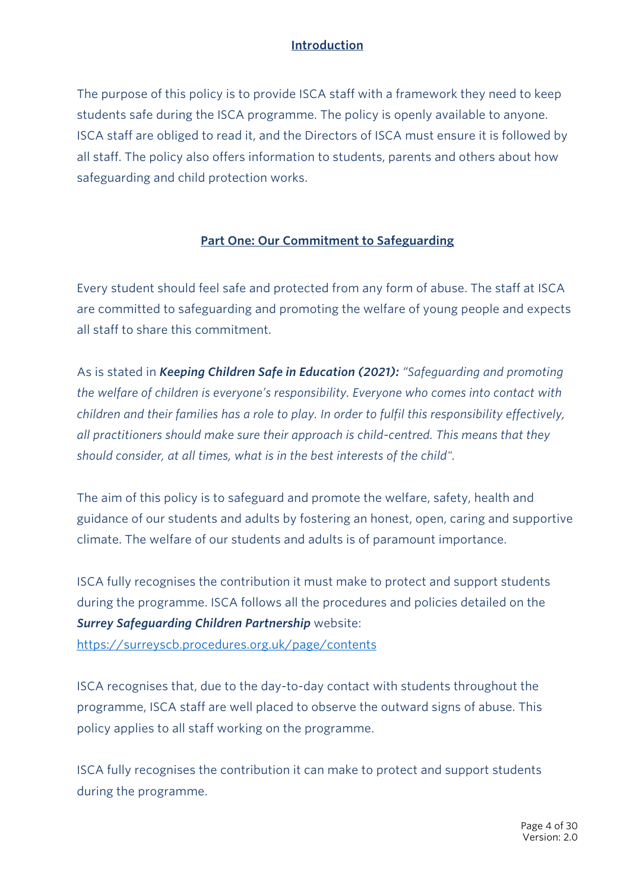## **Introduction**

The purpose of this policy is to provide ISCA staff with a framework they need to keep students safe during the ISCA programme. The policy is openly available to anyone. ISCA staff are obliged to read it, and the Directors of ISCA must ensure it is followed by all staff. The policy also offers information to students, parents and others about how safeguarding and child protection works.

#### **Part One: Our Commitment to Safeguarding**

Every student should feel safe and protected from any form of abuse. The staff at ISCA are committed to safeguarding and promoting the welfare of young people and expects all staff to share this commitment.

As is stated in *Keeping Children Safe in Education (2021): "Safeguarding and promoting the welfare of children is everyone's responsibility. Everyone who comes into contact with children and their families has a role to play. In order to fulfil this responsibility effectively, all practitioners should make sure their approach is child-centred. This means that they should consider, at all times, what is in the best interests of the child".*

The aim of this policy is to safeguard and promote the welfare, safety, health and guidance of our students and adults by fostering an honest, open, caring and supportive climate. The welfare of our students and adults is of paramount importance.

ISCA fully recognises the contribution it must make to protect and support students during the programme. ISCA follows all the procedures and policies detailed on the *Surrey Safeguarding Children Partnership* website:

https://surreyscb.procedures.org.uk/page/contents

ISCA recognises that, due to the day-to-day contact with students throughout the programme, ISCA staff are well placed to observe the outward signs of abuse. This policy applies to all staff working on the programme.

ISCA fully recognises the contribution it can make to protect and support students during the programme.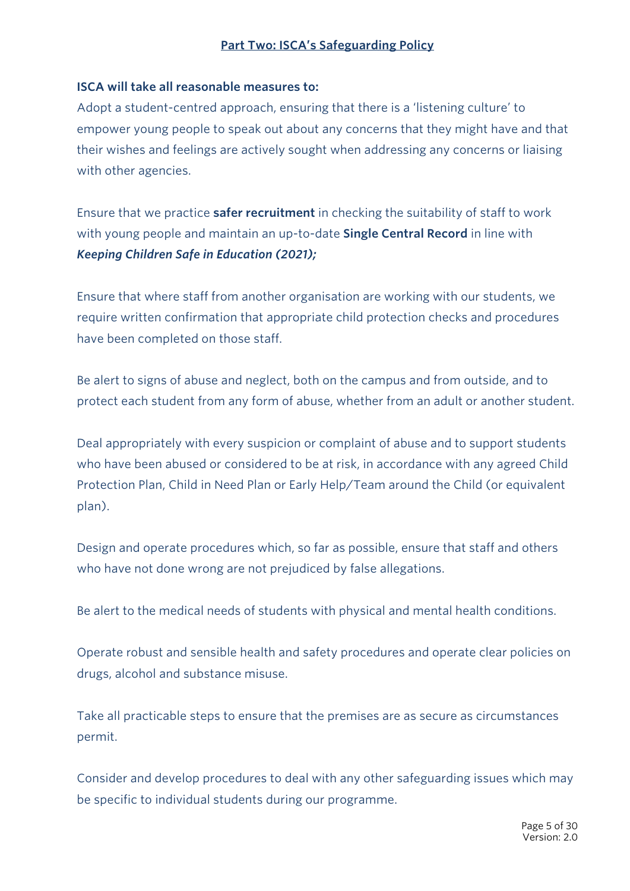#### **ISCA will take all reasonable measures to:**

Adopt a student-centred approach, ensuring that there is a 'listening culture' to empower young people to speak out about any concerns that they might have and that their wishes and feelings are actively sought when addressing any concerns or liaising with other agencies.

Ensure that we practice **safer recruitment** in checking the suitability of staff to work with young people and maintain an up-to-date **Single Central Record** in line with *Keeping Children Safe in Education (2021);*

Ensure that where staff from another organisation are working with our students, we require written confirmation that appropriate child protection checks and procedures have been completed on those staff.

Be alert to signs of abuse and neglect, both on the campus and from outside, and to protect each student from any form of abuse, whether from an adult or another student.

Deal appropriately with every suspicion or complaint of abuse and to support students who have been abused or considered to be at risk, in accordance with any agreed Child Protection Plan, Child in Need Plan or Early Help/Team around the Child (or equivalent plan).

Design and operate procedures which, so far as possible, ensure that staff and others who have not done wrong are not prejudiced by false allegations.

Be alert to the medical needs of students with physical and mental health conditions.

Operate robust and sensible health and safety procedures and operate clear policies on drugs, alcohol and substance misuse.

Take all practicable steps to ensure that the premises are as secure as circumstances permit.

Consider and develop procedures to deal with any other safeguarding issues which may be specific to individual students during our programme.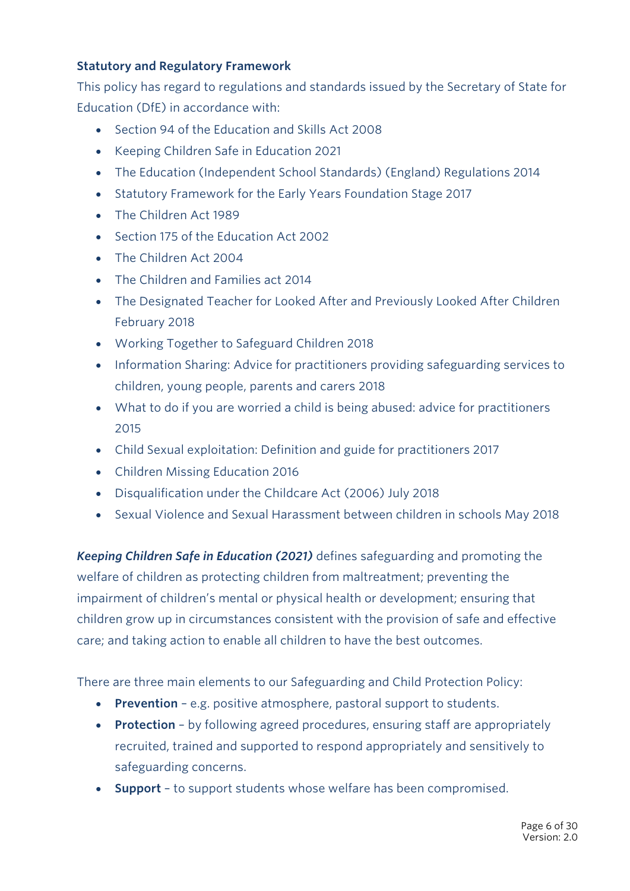#### **Statutory and Regulatory Framework**

This policy has regard to regulations and standards issued by the Secretary of State for Education (DfE) in accordance with:

- Section 94 of the Education and Skills Act 2008
- Keeping Children Safe in Education 2021
- The Education (Independent School Standards) (England) Regulations 2014
- Statutory Framework for the Early Years Foundation Stage 2017
- The Children Act 1989
- Section 175 of the Education Act 2002
- The Children Act 2004
- The Children and Families act 2014
- The Designated Teacher for Looked After and Previously Looked After Children February 2018
- Working Together to Safeguard Children 2018
- Information Sharing: Advice for practitioners providing safeguarding services to children, young people, parents and carers 2018
- What to do if you are worried a child is being abused: advice for practitioners 2015
- Child Sexual exploitation: Definition and guide for practitioners 2017
- Children Missing Education 2016
- Disqualification under the Childcare Act (2006) July 2018
- Sexual Violence and Sexual Harassment between children in schools May 2018

*Keeping Children Safe in Education (2021)* defines safeguarding and promoting the welfare of children as protecting children from maltreatment; preventing the impairment of children's mental or physical health or development; ensuring that children grow up in circumstances consistent with the provision of safe and effective care; and taking action to enable all children to have the best outcomes.

There are three main elements to our Safeguarding and Child Protection Policy:

- **Prevention** e.g. positive atmosphere, pastoral support to students.
- **Protection** by following agreed procedures, ensuring staff are appropriately recruited, trained and supported to respond appropriately and sensitively to safeguarding concerns.
- **Support** to support students whose welfare has been compromised.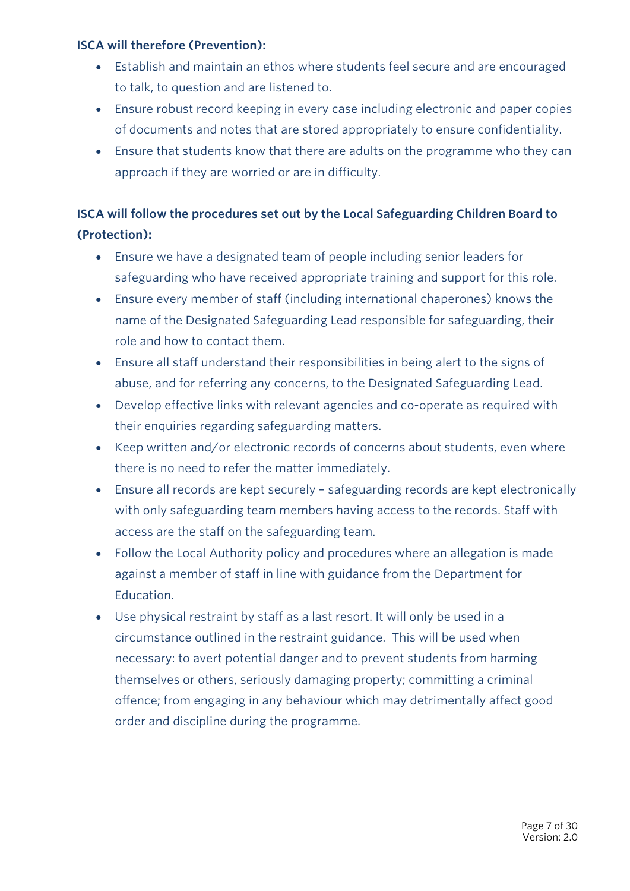#### **ISCA will therefore (Prevention):**

- Establish and maintain an ethos where students feel secure and are encouraged to talk, to question and are listened to.
- Ensure robust record keeping in every case including electronic and paper copies of documents and notes that are stored appropriately to ensure confidentiality.
- Ensure that students know that there are adults on the programme who they can approach if they are worried or are in difficulty.

# **ISCA will follow the procedures set out by the Local Safeguarding Children Board to (Protection):**

- Ensure we have a designated team of people including senior leaders for safeguarding who have received appropriate training and support for this role.
- Ensure every member of staff (including international chaperones) knows the name of the Designated Safeguarding Lead responsible for safeguarding, their role and how to contact them.
- Ensure all staff understand their responsibilities in being alert to the signs of abuse, and for referring any concerns, to the Designated Safeguarding Lead.
- Develop effective links with relevant agencies and co-operate as required with their enquiries regarding safeguarding matters.
- Keep written and/or electronic records of concerns about students, even where there is no need to refer the matter immediately.
- Ensure all records are kept securely safeguarding records are kept electronically with only safeguarding team members having access to the records. Staff with access are the staff on the safeguarding team.
- Follow the Local Authority policy and procedures where an allegation is made against a member of staff in line with guidance from the Department for Education.
- Use physical restraint by staff as a last resort. It will only be used in a circumstance outlined in the restraint guidance. This will be used when necessary: to avert potential danger and to prevent students from harming themselves or others, seriously damaging property; committing a criminal offence; from engaging in any behaviour which may detrimentally affect good order and discipline during the programme.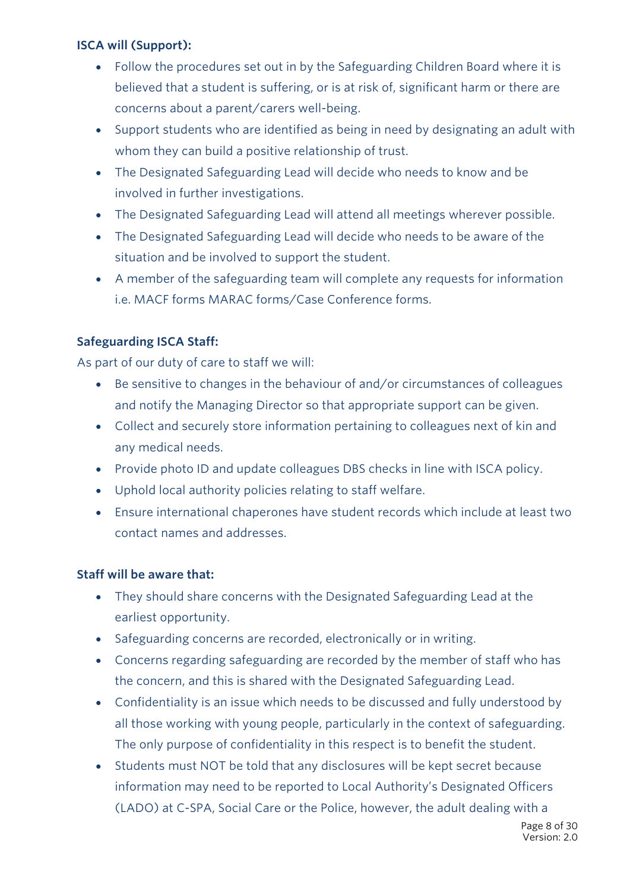#### **ISCA will (Support):**

- Follow the procedures set out in by the Safeguarding Children Board where it is believed that a student is suffering, or is at risk of, significant harm or there are concerns about a parent/carers well-being.
- Support students who are identified as being in need by designating an adult with whom they can build a positive relationship of trust.
- The Designated Safeguarding Lead will decide who needs to know and be involved in further investigations.
- The Designated Safeguarding Lead will attend all meetings wherever possible.
- The Designated Safeguarding Lead will decide who needs to be aware of the situation and be involved to support the student.
- A member of the safeguarding team will complete any requests for information i.e. MACF forms MARAC forms/Case Conference forms.

## **Safeguarding ISCA Staff:**

As part of our duty of care to staff we will:

- Be sensitive to changes in the behaviour of and/or circumstances of colleagues and notify the Managing Director so that appropriate support can be given.
- Collect and securely store information pertaining to colleagues next of kin and any medical needs.
- Provide photo ID and update colleagues DBS checks in line with ISCA policy.
- Uphold local authority policies relating to staff welfare.
- Ensure international chaperones have student records which include at least two contact names and addresses.

## **Staff will be aware that:**

- They should share concerns with the Designated Safeguarding Lead at the earliest opportunity.
- Safeguarding concerns are recorded, electronically or in writing.
- Concerns regarding safeguarding are recorded by the member of staff who has the concern, and this is shared with the Designated Safeguarding Lead.
- Confidentiality is an issue which needs to be discussed and fully understood by all those working with young people, particularly in the context of safeguarding. The only purpose of confidentiality in this respect is to benefit the student.
- Students must NOT be told that any disclosures will be kept secret because information may need to be reported to Local Authority's Designated Officers (LADO) at C-SPA, Social Care or the Police, however, the adult dealing with a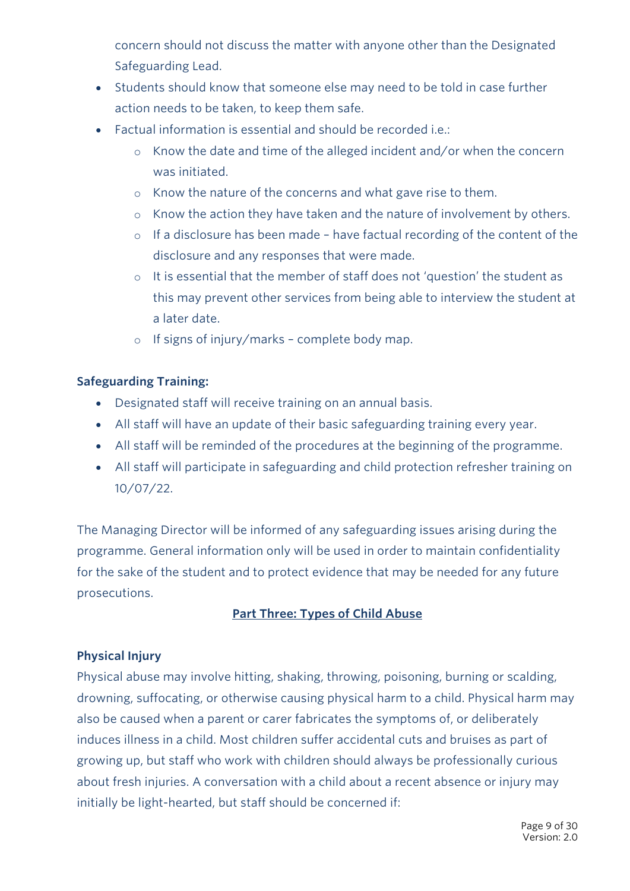concern should not discuss the matter with anyone other than the Designated Safeguarding Lead.

- Students should know that someone else may need to be told in case further action needs to be taken, to keep them safe.
- Factual information is essential and should be recorded i.e.:
	- o Know the date and time of the alleged incident and/or when the concern was initiated.
	- o Know the nature of the concerns and what gave rise to them.
	- o Know the action they have taken and the nature of involvement by others.
	- o If a disclosure has been made have factual recording of the content of the disclosure and any responses that were made.
	- o It is essential that the member of staff does not 'question' the student as this may prevent other services from being able to interview the student at a later date.
	- o If signs of injury/marks complete body map.

## **Safeguarding Training:**

- Designated staff will receive training on an annual basis.
- All staff will have an update of their basic safeguarding training every year.
- All staff will be reminded of the procedures at the beginning of the programme.
- All staff will participate in safeguarding and child protection refresher training on 10/07/22.

The Managing Director will be informed of any safeguarding issues arising during the programme. General information only will be used in order to maintain confidentiality for the sake of the student and to protect evidence that may be needed for any future prosecutions.

#### **Part Three: Types of Child Abuse**

#### **Physical Injury**

Physical abuse may involve hitting, shaking, throwing, poisoning, burning or scalding, drowning, suffocating, or otherwise causing physical harm to a child. Physical harm may also be caused when a parent or carer fabricates the symptoms of, or deliberately induces illness in a child. Most children suffer accidental cuts and bruises as part of growing up, but staff who work with children should always be professionally curious about fresh injuries. A conversation with a child about a recent absence or injury may initially be light-hearted, but staff should be concerned if: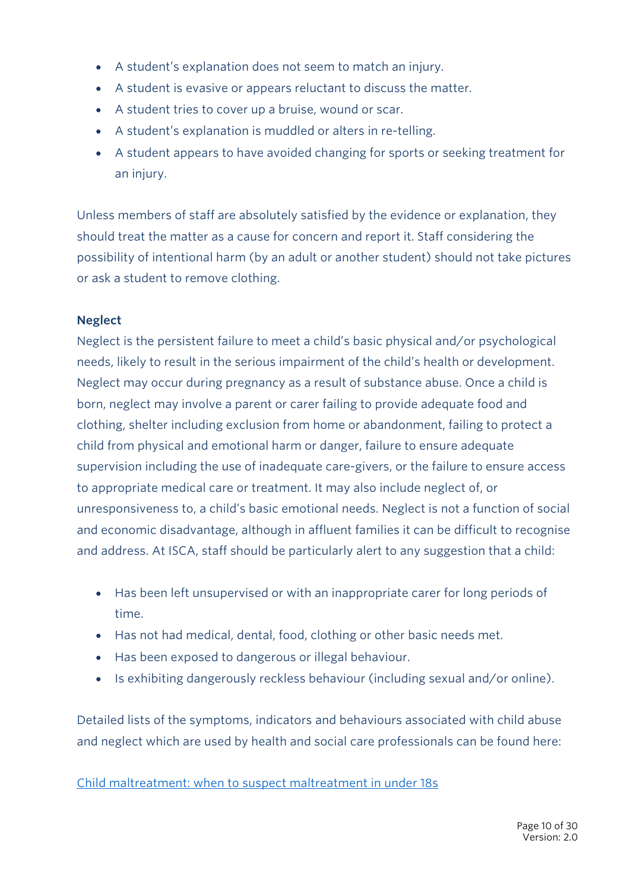- A student's explanation does not seem to match an injury.
- A student is evasive or appears reluctant to discuss the matter.
- A student tries to cover up a bruise, wound or scar.
- A student's explanation is muddled or alters in re-telling.
- A student appears to have avoided changing for sports or seeking treatment for an injury.

Unless members of staff are absolutely satisfied by the evidence or explanation, they should treat the matter as a cause for concern and report it. Staff considering the possibility of intentional harm (by an adult or another student) should not take pictures or ask a student to remove clothing.

#### **Neglect**

Neglect is the persistent failure to meet a child's basic physical and/or psychological needs, likely to result in the serious impairment of the child's health or development. Neglect may occur during pregnancy as a result of substance abuse. Once a child is born, neglect may involve a parent or carer failing to provide adequate food and clothing, shelter including exclusion from home or abandonment, failing to protect a child from physical and emotional harm or danger, failure to ensure adequate supervision including the use of inadequate care-givers, or the failure to ensure access to appropriate medical care or treatment. It may also include neglect of, or unresponsiveness to, a child's basic emotional needs. Neglect is not a function of social and economic disadvantage, although in affluent families it can be difficult to recognise and address. At ISCA, staff should be particularly alert to any suggestion that a child:

- Has been left unsupervised or with an inappropriate carer for long periods of time.
- Has not had medical, dental, food, clothing or other basic needs met.
- Has been exposed to dangerous or illegal behaviour.
- Is exhibiting dangerously reckless behaviour (including sexual and/or online).

Detailed lists of the symptoms, indicators and behaviours associated with child abuse and neglect which are used by health and social care professionals can be found here:

Child maltreatment: when to suspect maltreatment in under 18s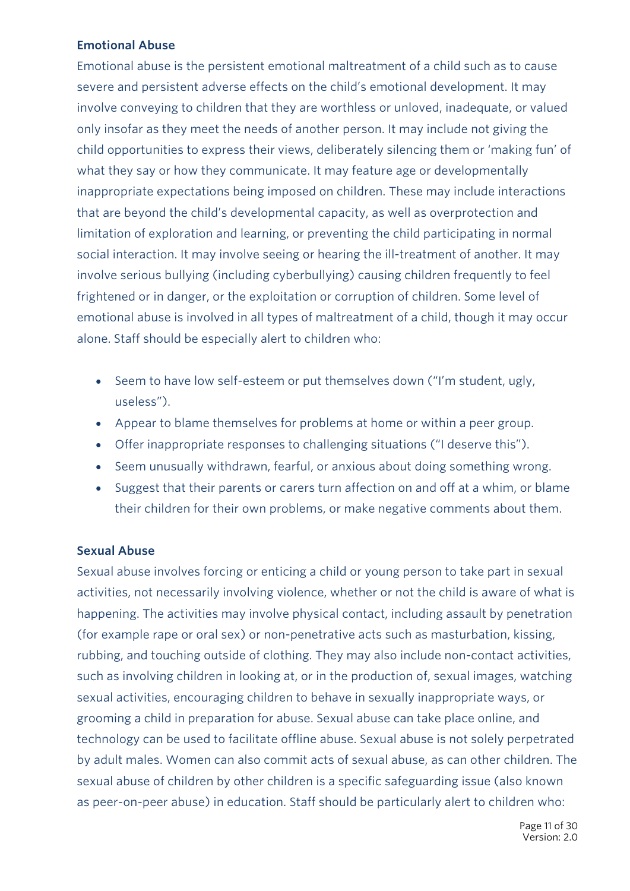#### **Emotional Abuse**

Emotional abuse is the persistent emotional maltreatment of a child such as to cause severe and persistent adverse effects on the child's emotional development. It may involve conveying to children that they are worthless or unloved, inadequate, or valued only insofar as they meet the needs of another person. It may include not giving the child opportunities to express their views, deliberately silencing them or 'making fun' of what they say or how they communicate. It may feature age or developmentally inappropriate expectations being imposed on children. These may include interactions that are beyond the child's developmental capacity, as well as overprotection and limitation of exploration and learning, or preventing the child participating in normal social interaction. It may involve seeing or hearing the ill-treatment of another. It may involve serious bullying (including cyberbullying) causing children frequently to feel frightened or in danger, or the exploitation or corruption of children. Some level of emotional abuse is involved in all types of maltreatment of a child, though it may occur alone. Staff should be especially alert to children who:

- Seem to have low self-esteem or put themselves down ("I'm student, ugly, useless").
- Appear to blame themselves for problems at home or within a peer group.
- Offer inappropriate responses to challenging situations ("I deserve this").
- Seem unusually withdrawn, fearful, or anxious about doing something wrong.
- Suggest that their parents or carers turn affection on and off at a whim, or blame their children for their own problems, or make negative comments about them.

#### **Sexual Abuse**

Sexual abuse involves forcing or enticing a child or young person to take part in sexual activities, not necessarily involving violence, whether or not the child is aware of what is happening. The activities may involve physical contact, including assault by penetration (for example rape or oral sex) or non-penetrative acts such as masturbation, kissing, rubbing, and touching outside of clothing. They may also include non-contact activities, such as involving children in looking at, or in the production of, sexual images, watching sexual activities, encouraging children to behave in sexually inappropriate ways, or grooming a child in preparation for abuse. Sexual abuse can take place online, and technology can be used to facilitate offline abuse. Sexual abuse is not solely perpetrated by adult males. Women can also commit acts of sexual abuse, as can other children. The sexual abuse of children by other children is a specific safeguarding issue (also known as peer-on-peer abuse) in education. Staff should be particularly alert to children who: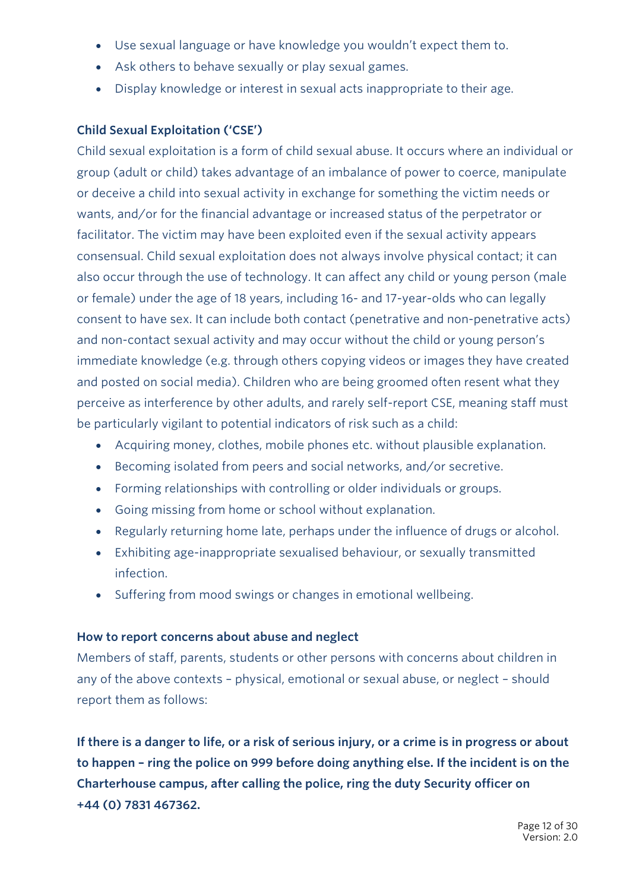- Use sexual language or have knowledge you wouldn't expect them to.
- Ask others to behave sexually or play sexual games.
- Display knowledge or interest in sexual acts inappropriate to their age.

## **Child Sexual Exploitation ('CSE')**

Child sexual exploitation is a form of child sexual abuse. It occurs where an individual or group (adult or child) takes advantage of an imbalance of power to coerce, manipulate or deceive a child into sexual activity in exchange for something the victim needs or wants, and/or for the financial advantage or increased status of the perpetrator or facilitator. The victim may have been exploited even if the sexual activity appears consensual. Child sexual exploitation does not always involve physical contact; it can also occur through the use of technology. It can affect any child or young person (male or female) under the age of 18 years, including 16- and 17-year-olds who can legally consent to have sex. It can include both contact (penetrative and non-penetrative acts) and non-contact sexual activity and may occur without the child or young person's immediate knowledge (e.g. through others copying videos or images they have created and posted on social media). Children who are being groomed often resent what they perceive as interference by other adults, and rarely self-report CSE, meaning staff must be particularly vigilant to potential indicators of risk such as a child:

- Acquiring money, clothes, mobile phones etc. without plausible explanation.
- Becoming isolated from peers and social networks, and/or secretive.
- Forming relationships with controlling or older individuals or groups.
- Going missing from home or school without explanation.
- Regularly returning home late, perhaps under the influence of drugs or alcohol.
- Exhibiting age-inappropriate sexualised behaviour, or sexually transmitted infection.
- Suffering from mood swings or changes in emotional wellbeing.

## **How to report concerns about abuse and neglect**

Members of staff, parents, students or other persons with concerns about children in any of the above contexts – physical, emotional or sexual abuse, or neglect – should report them as follows:

**If there is a danger to life, or a risk of serious injury, or a crime is in progress or about to happen – ring the police on 999 before doing anything else. If the incident is on the Charterhouse campus, after calling the police, ring the duty Security officer on +44 (0) 7831 467362.**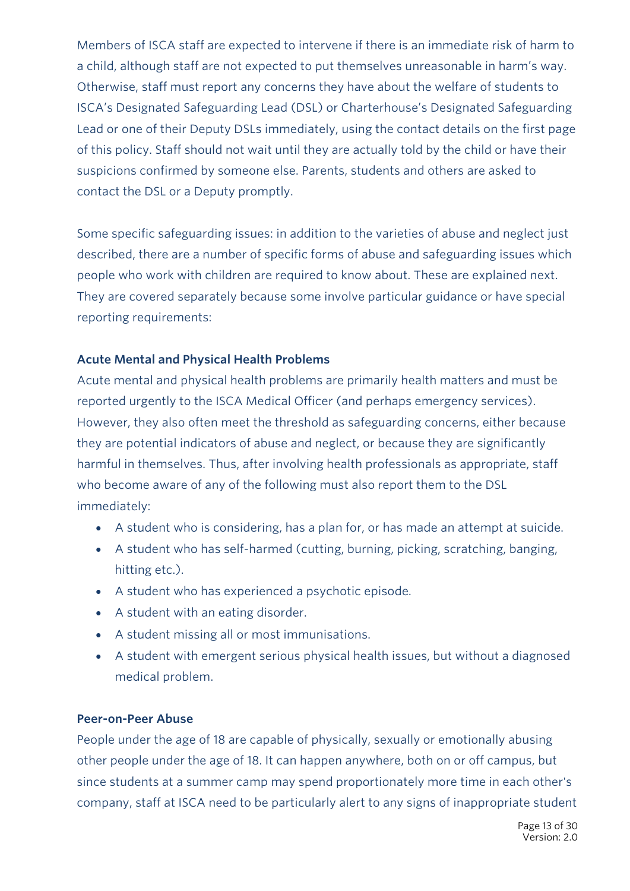Members of ISCA staff are expected to intervene if there is an immediate risk of harm to a child, although staff are not expected to put themselves unreasonable in harm's way. Otherwise, staff must report any concerns they have about the welfare of students to ISCA's Designated Safeguarding Lead (DSL) or Charterhouse's Designated Safeguarding Lead or one of their Deputy DSLs immediately, using the contact details on the first page of this policy. Staff should not wait until they are actually told by the child or have their suspicions confirmed by someone else. Parents, students and others are asked to contact the DSL or a Deputy promptly.

Some specific safeguarding issues: in addition to the varieties of abuse and neglect just described, there are a number of specific forms of abuse and safeguarding issues which people who work with children are required to know about. These are explained next. They are covered separately because some involve particular guidance or have special reporting requirements:

#### **Acute Mental and Physical Health Problems**

Acute mental and physical health problems are primarily health matters and must be reported urgently to the ISCA Medical Officer (and perhaps emergency services). However, they also often meet the threshold as safeguarding concerns, either because they are potential indicators of abuse and neglect, or because they are significantly harmful in themselves. Thus, after involving health professionals as appropriate, staff who become aware of any of the following must also report them to the DSL immediately:

- A student who is considering, has a plan for, or has made an attempt at suicide.
- A student who has self-harmed (cutting, burning, picking, scratching, banging, hitting etc.).
- A student who has experienced a psychotic episode.
- A student with an eating disorder.
- A student missing all or most immunisations.
- A student with emergent serious physical health issues, but without a diagnosed medical problem.

#### **Peer-on-Peer Abuse**

People under the age of 18 are capable of physically, sexually or emotionally abusing other people under the age of 18. It can happen anywhere, both on or off campus, but since students at a summer camp may spend proportionately more time in each other's company, staff at ISCA need to be particularly alert to any signs of inappropriate student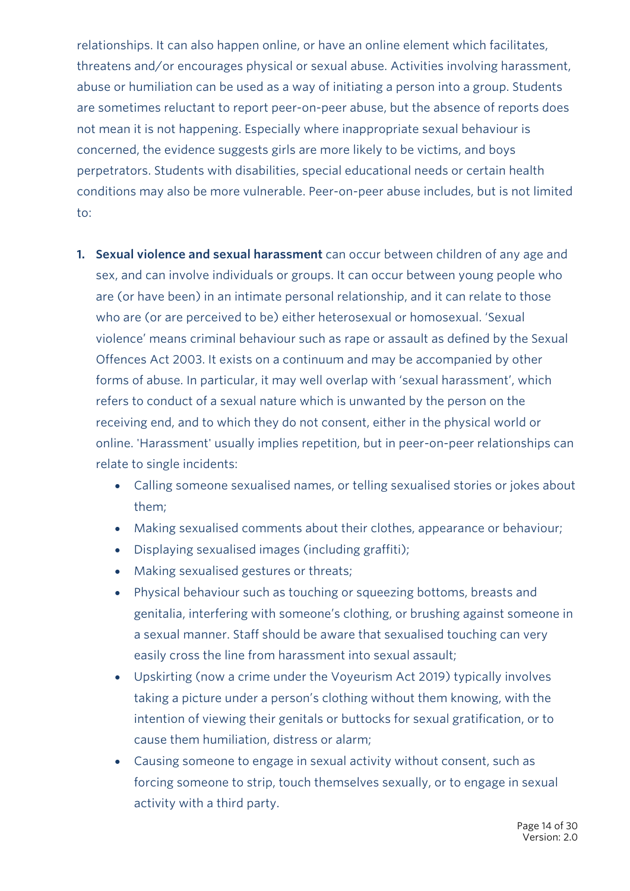relationships. It can also happen online, or have an online element which facilitates, threatens and/or encourages physical or sexual abuse. Activities involving harassment, abuse or humiliation can be used as a way of initiating a person into a group. Students are sometimes reluctant to report peer-on-peer abuse, but the absence of reports does not mean it is not happening. Especially where inappropriate sexual behaviour is concerned, the evidence suggests girls are more likely to be victims, and boys perpetrators. Students with disabilities, special educational needs or certain health conditions may also be more vulnerable. Peer-on-peer abuse includes, but is not limited to:

- **1. Sexual violence and sexual harassment** can occur between children of any age and sex, and can involve individuals or groups. It can occur between young people who are (or have been) in an intimate personal relationship, and it can relate to those who are (or are perceived to be) either heterosexual or homosexual. 'Sexual violence' means criminal behaviour such as rape or assault as defined by the Sexual Offences Act 2003. It exists on a continuum and may be accompanied by other forms of abuse. In particular, it may well overlap with 'sexual harassment', which refers to conduct of a sexual nature which is unwanted by the person on the receiving end, and to which they do not consent, either in the physical world or online. 'Harassment' usually implies repetition, but in peer-on-peer relationships can relate to single incidents:
	- Calling someone sexualised names, or telling sexualised stories or jokes about them;
	- Making sexualised comments about their clothes, appearance or behaviour;
	- Displaying sexualised images (including graffiti);
	- Making sexualised gestures or threats;
	- Physical behaviour such as touching or squeezing bottoms, breasts and genitalia, interfering with someone's clothing, or brushing against someone in a sexual manner. Staff should be aware that sexualised touching can very easily cross the line from harassment into sexual assault;
	- Upskirting (now a crime under the Voyeurism Act 2019) typically involves taking a picture under a person's clothing without them knowing, with the intention of viewing their genitals or buttocks for sexual gratification, or to cause them humiliation, distress or alarm;
	- Causing someone to engage in sexual activity without consent, such as forcing someone to strip, touch themselves sexually, or to engage in sexual activity with a third party.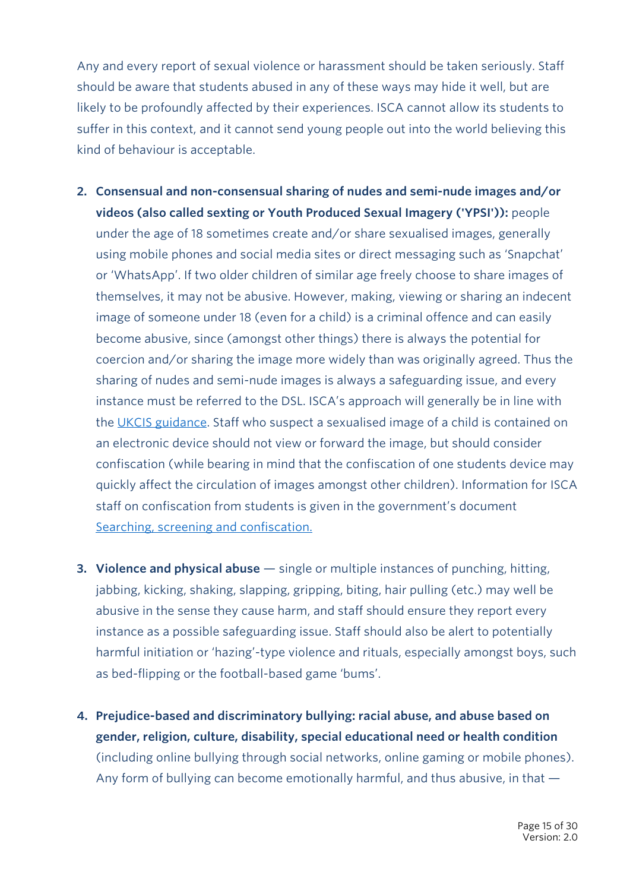Any and every report of sexual violence or harassment should be taken seriously. Staff should be aware that students abused in any of these ways may hide it well, but are likely to be profoundly affected by their experiences. ISCA cannot allow its students to suffer in this context, and it cannot send young people out into the world believing this kind of behaviour is acceptable.

- **2. Consensual and non-consensual sharing of nudes and semi-nude images and/or videos (also called sexting or Youth Produced Sexual Imagery ('YPSI')):** people under the age of 18 sometimes create and/or share sexualised images, generally using mobile phones and social media sites or direct messaging such as 'Snapchat' or 'WhatsApp'. If two older children of similar age freely choose to share images of themselves, it may not be abusive. However, making, viewing or sharing an indecent image of someone under 18 (even for a child) is a criminal offence and can easily become abusive, since (amongst other things) there is always the potential for coercion and/or sharing the image more widely than was originally agreed. Thus the sharing of nudes and semi-nude images is always a safeguarding issue, and every instance must be referred to the DSL. ISCA's approach will generally be in line with the UKCIS guidance. Staff who suspect a sexualised image of a child is contained on an electronic device should not view or forward the image, but should consider confiscation (while bearing in mind that the confiscation of one students device may quickly affect the circulation of images amongst other children). Information for ISCA staff on confiscation from students is given in the government's document Searching, screening and confiscation.
- **3. Violence and physical abuse** single or multiple instances of punching, hitting, jabbing, kicking, shaking, slapping, gripping, biting, hair pulling (etc.) may well be abusive in the sense they cause harm, and staff should ensure they report every instance as a possible safeguarding issue. Staff should also be alert to potentially harmful initiation or 'hazing'-type violence and rituals, especially amongst boys, such as bed-flipping or the football-based game 'bums'.
- **4. Prejudice-based and discriminatory bullying: racial abuse, and abuse based on gender, religion, culture, disability, special educational need or health condition** (including online bullying through social networks, online gaming or mobile phones). Any form of bullying can become emotionally harmful, and thus abusive, in that —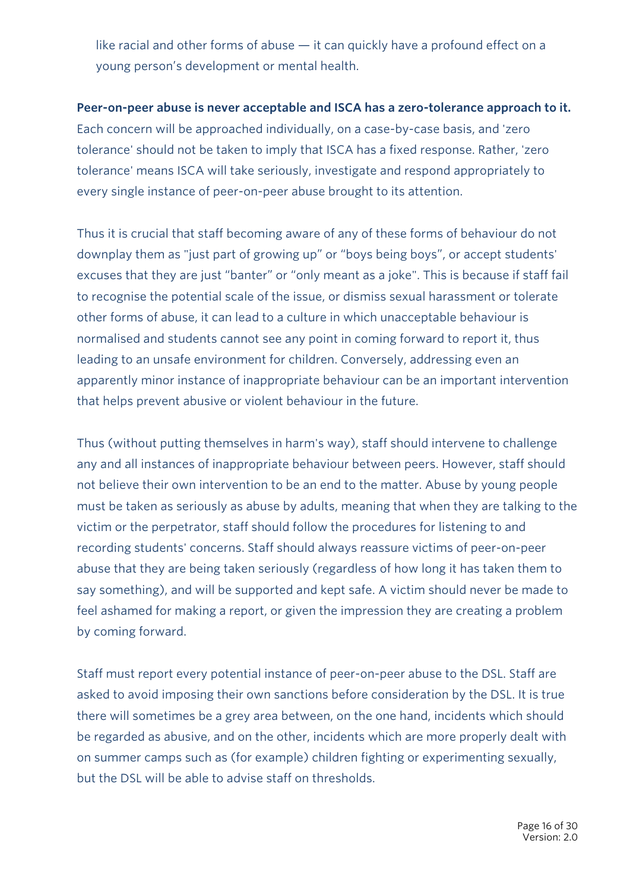like racial and other forms of abuse — it can quickly have a profound effect on a young person's development or mental health.

#### **Peer-on-peer abuse is never acceptable and ISCA has a zero-tolerance approach to it.**

Each concern will be approached individually, on a case-by-case basis, and 'zero tolerance' should not be taken to imply that ISCA has a fixed response. Rather, 'zero tolerance' means ISCA will take seriously, investigate and respond appropriately to every single instance of peer-on-peer abuse brought to its attention.

Thus it is crucial that staff becoming aware of any of these forms of behaviour do not downplay them as "just part of growing up" or "boys being boys", or accept students' excuses that they are just "banter" or "only meant as a joke". This is because if staff fail to recognise the potential scale of the issue, or dismiss sexual harassment or tolerate other forms of abuse, it can lead to a culture in which unacceptable behaviour is normalised and students cannot see any point in coming forward to report it, thus leading to an unsafe environment for children. Conversely, addressing even an apparently minor instance of inappropriate behaviour can be an important intervention that helps prevent abusive or violent behaviour in the future.

Thus (without putting themselves in harm's way), staff should intervene to challenge any and all instances of inappropriate behaviour between peers. However, staff should not believe their own intervention to be an end to the matter. Abuse by young people must be taken as seriously as abuse by adults, meaning that when they are talking to the victim or the perpetrator, staff should follow the procedures for listening to and recording students' concerns. Staff should always reassure victims of peer-on-peer abuse that they are being taken seriously (regardless of how long it has taken them to say something), and will be supported and kept safe. A victim should never be made to feel ashamed for making a report, or given the impression they are creating a problem by coming forward.

Staff must report every potential instance of peer-on-peer abuse to the DSL. Staff are asked to avoid imposing their own sanctions before consideration by the DSL. It is true there will sometimes be a grey area between, on the one hand, incidents which should be regarded as abusive, and on the other, incidents which are more properly dealt with on summer camps such as (for example) children fighting or experimenting sexually, but the DSL will be able to advise staff on thresholds.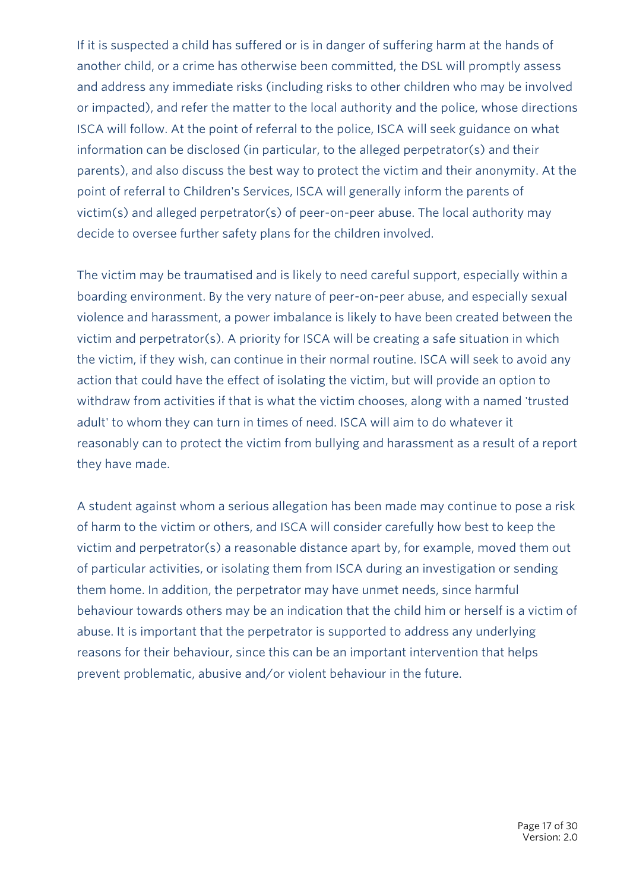If it is suspected a child has suffered or is in danger of suffering harm at the hands of another child, or a crime has otherwise been committed, the DSL will promptly assess and address any immediate risks (including risks to other children who may be involved or impacted), and refer the matter to the local authority and the police, whose directions ISCA will follow. At the point of referral to the police, ISCA will seek guidance on what information can be disclosed (in particular, to the alleged perpetrator(s) and their parents), and also discuss the best way to protect the victim and their anonymity. At the point of referral to Children's Services, ISCA will generally inform the parents of victim(s) and alleged perpetrator(s) of peer-on-peer abuse. The local authority may decide to oversee further safety plans for the children involved.

The victim may be traumatised and is likely to need careful support, especially within a boarding environment. By the very nature of peer-on-peer abuse, and especially sexual violence and harassment, a power imbalance is likely to have been created between the victim and perpetrator(s). A priority for ISCA will be creating a safe situation in which the victim, if they wish, can continue in their normal routine. ISCA will seek to avoid any action that could have the effect of isolating the victim, but will provide an option to withdraw from activities if that is what the victim chooses, along with a named 'trusted adult' to whom they can turn in times of need. ISCA will aim to do whatever it reasonably can to protect the victim from bullying and harassment as a result of a report they have made.

A student against whom a serious allegation has been made may continue to pose a risk of harm to the victim or others, and ISCA will consider carefully how best to keep the victim and perpetrator(s) a reasonable distance apart by, for example, moved them out of particular activities, or isolating them from ISCA during an investigation or sending them home. In addition, the perpetrator may have unmet needs, since harmful behaviour towards others may be an indication that the child him or herself is a victim of abuse. It is important that the perpetrator is supported to address any underlying reasons for their behaviour, since this can be an important intervention that helps prevent problematic, abusive and/or violent behaviour in the future.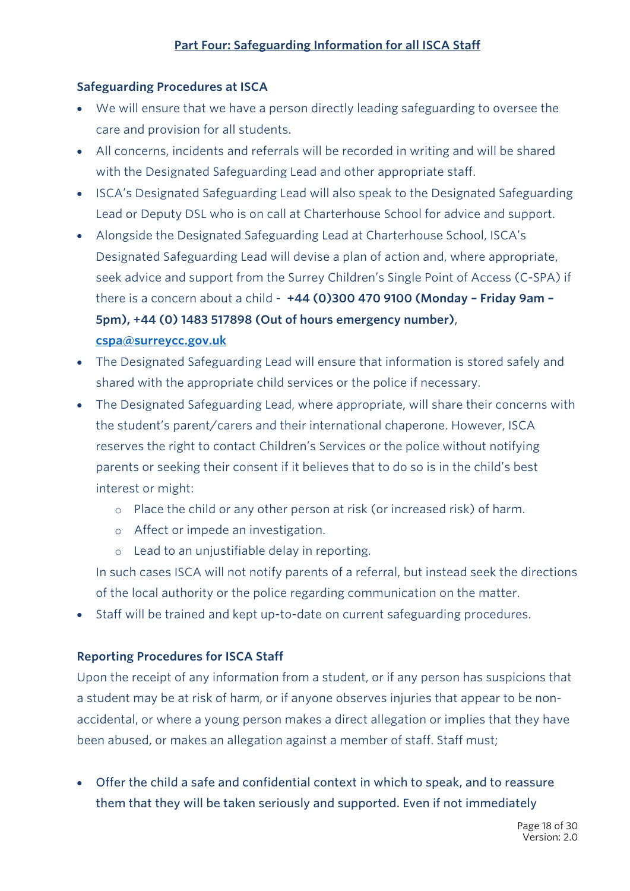## **Safeguarding Procedures at ISCA**

- We will ensure that we have a person directly leading safeguarding to oversee the care and provision for all students.
- All concerns, incidents and referrals will be recorded in writing and will be shared with the Designated Safeguarding Lead and other appropriate staff.
- ISCA's Designated Safeguarding Lead will also speak to the Designated Safeguarding Lead or Deputy DSL who is on call at Charterhouse School for advice and support.
- Alongside the Designated Safeguarding Lead at Charterhouse School, ISCA's Designated Safeguarding Lead will devise a plan of action and, where appropriate, seek advice and support from the Surrey Children's Single Point of Access (C-SPA) if there is a concern about a child - **+44 (0)300 470 9100 (Monday – Friday 9am – 5pm), +44 (0) 1483 517898 (Out of hours emergency number)**, **cspa@surreycc.gov.uk**
- The Designated Safeguarding Lead will ensure that information is stored safely and shared with the appropriate child services or the police if necessary.
- The Designated Safeguarding Lead, where appropriate, will share their concerns with the student's parent/carers and their international chaperone. However, ISCA reserves the right to contact Children's Services or the police without notifying parents or seeking their consent if it believes that to do so is in the child's best interest or might:
	- o Place the child or any other person at risk (or increased risk) of harm.
	- o Affect or impede an investigation.
	- o Lead to an unjustifiable delay in reporting.

In such cases ISCA will not notify parents of a referral, but instead seek the directions of the local authority or the police regarding communication on the matter.

• Staff will be trained and kept up-to-date on current safeguarding procedures.

#### **Reporting Procedures for ISCA Staff**

Upon the receipt of any information from a student, or if any person has suspicions that a student may be at risk of harm, or if anyone observes injuries that appear to be nonaccidental, or where a young person makes a direct allegation or implies that they have been abused, or makes an allegation against a member of staff. Staff must;

• Offer the child a safe and confidential context in which to speak, and to reassure them that they will be taken seriously and supported. Even if not immediately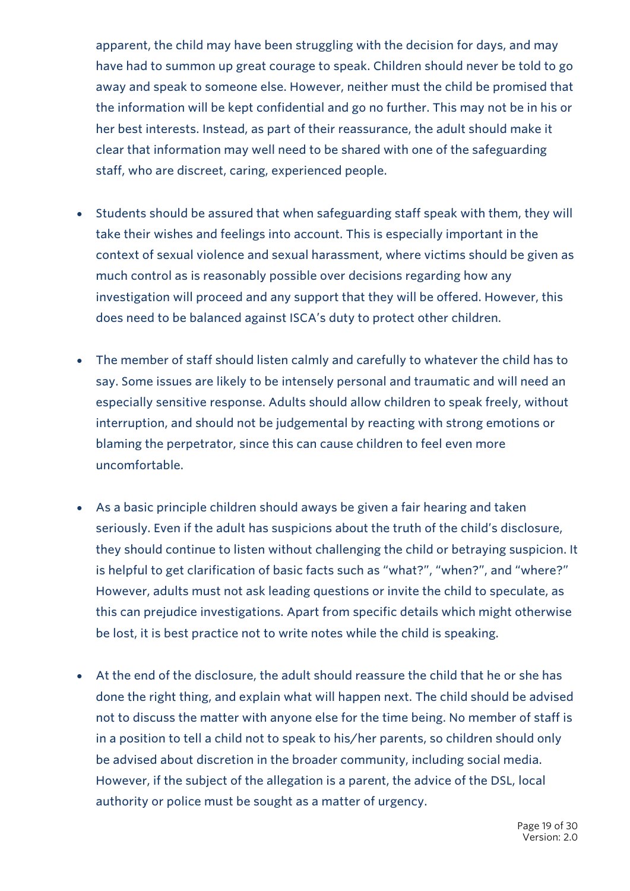apparent, the child may have been struggling with the decision for days, and may have had to summon up great courage to speak. Children should never be told to go away and speak to someone else. However, neither must the child be promised that the information will be kept confidential and go no further. This may not be in his or her best interests. Instead, as part of their reassurance, the adult should make it clear that information may well need to be shared with one of the safeguarding staff, who are discreet, caring, experienced people.

- Students should be assured that when safeguarding staff speak with them, they will take their wishes and feelings into account. This is especially important in the context of sexual violence and sexual harassment, where victims should be given as much control as is reasonably possible over decisions regarding how any investigation will proceed and any support that they will be offered. However, this does need to be balanced against ISCA's duty to protect other children.
- The member of staff should listen calmly and carefully to whatever the child has to say. Some issues are likely to be intensely personal and traumatic and will need an especially sensitive response. Adults should allow children to speak freely, without interruption, and should not be judgemental by reacting with strong emotions or blaming the perpetrator, since this can cause children to feel even more uncomfortable.
- As a basic principle children should aways be given a fair hearing and taken seriously. Even if the adult has suspicions about the truth of the child's disclosure, they should continue to listen without challenging the child or betraying suspicion. It is helpful to get clarification of basic facts such as "what?", "when?", and "where?" However, adults must not ask leading questions or invite the child to speculate, as this can prejudice investigations. Apart from specific details which might otherwise be lost, it is best practice not to write notes while the child is speaking.
- At the end of the disclosure, the adult should reassure the child that he or she has done the right thing, and explain what will happen next. The child should be advised not to discuss the matter with anyone else for the time being. No member of staff is in a position to tell a child not to speak to his/her parents, so children should only be advised about discretion in the broader community, including social media. However, if the subject of the allegation is a parent, the advice of the DSL, local authority or police must be sought as a matter of urgency.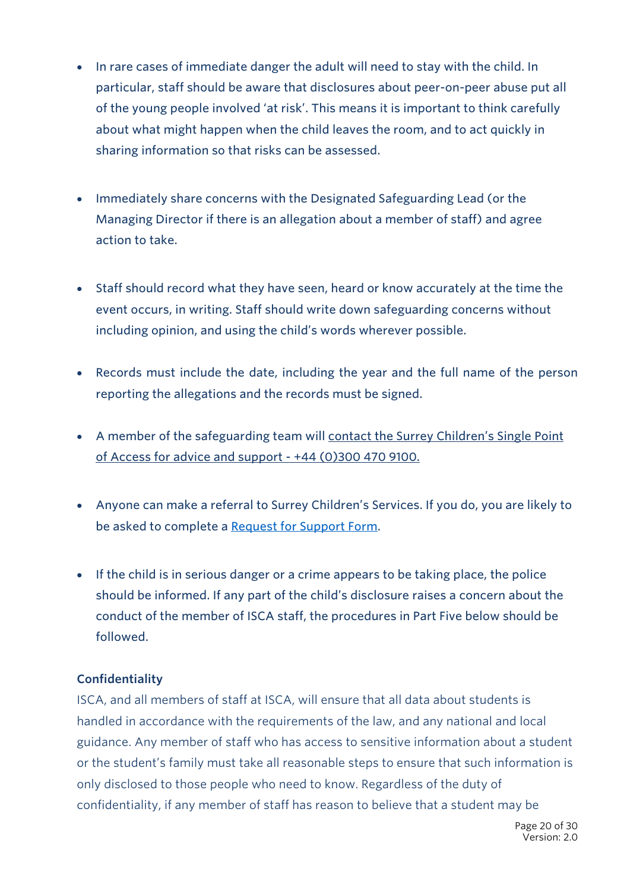- In rare cases of immediate danger the adult will need to stay with the child. In particular, staff should be aware that disclosures about peer-on-peer abuse put all of the young people involved 'at risk'. This means it is important to think carefully about what might happen when the child leaves the room, and to act quickly in sharing information so that risks can be assessed.
- Immediately share concerns with the Designated Safeguarding Lead (or the Managing Director if there is an allegation about a member of staff) and agree action to take.
- Staff should record what they have seen, heard or know accurately at the time the event occurs, in writing. Staff should write down safeguarding concerns without including opinion, and using the child's words wherever possible.
- Records must include the date, including the year and the full name of the person reporting the allegations and the records must be signed.
- A member of the safeguarding team will contact the Surrey Children's Single Point of Access for advice and support - +44 (0)300 470 9100.
- Anyone can make a referral to Surrey Children's Services. If you do, you are likely to be asked to complete a Request for Support Form.
- If the child is in serious danger or a crime appears to be taking place, the police should be informed. If any part of the child's disclosure raises a concern about the conduct of the member of ISCA staff, the procedures in Part Five below should be followed.

#### **Confidentiality**

ISCA, and all members of staff at ISCA, will ensure that all data about students is handled in accordance with the requirements of the law, and any national and local guidance. Any member of staff who has access to sensitive information about a student or the student's family must take all reasonable steps to ensure that such information is only disclosed to those people who need to know. Regardless of the duty of confidentiality, if any member of staff has reason to believe that a student may be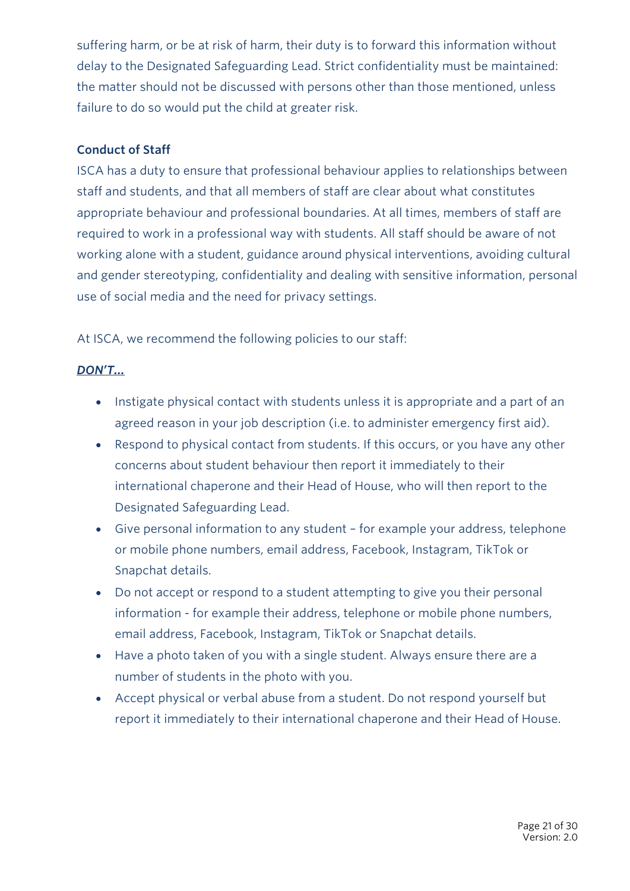suffering harm, or be at risk of harm, their duty is to forward this information without delay to the Designated Safeguarding Lead. Strict confidentiality must be maintained: the matter should not be discussed with persons other than those mentioned, unless failure to do so would put the child at greater risk.

#### **Conduct of Staff**

ISCA has a duty to ensure that professional behaviour applies to relationships between staff and students, and that all members of staff are clear about what constitutes appropriate behaviour and professional boundaries. At all times, members of staff are required to work in a professional way with students. All staff should be aware of not working alone with a student, guidance around physical interventions, avoiding cultural and gender stereotyping, confidentiality and dealing with sensitive information, personal use of social media and the need for privacy settings.

At ISCA, we recommend the following policies to our staff:

## *DON'T…*

- Instigate physical contact with students unless it is appropriate and a part of an agreed reason in your job description (i.e. to administer emergency first aid).
- Respond to physical contact from students. If this occurs, or you have any other concerns about student behaviour then report it immediately to their international chaperone and their Head of House, who will then report to the Designated Safeguarding Lead.
- Give personal information to any student for example your address, telephone or mobile phone numbers, email address, Facebook, Instagram, TikTok or Snapchat details.
- Do not accept or respond to a student attempting to give you their personal information - for example their address, telephone or mobile phone numbers, email address, Facebook, Instagram, TikTok or Snapchat details.
- Have a photo taken of you with a single student. Always ensure there are a number of students in the photo with you.
- Accept physical or verbal abuse from a student. Do not respond yourself but report it immediately to their international chaperone and their Head of House.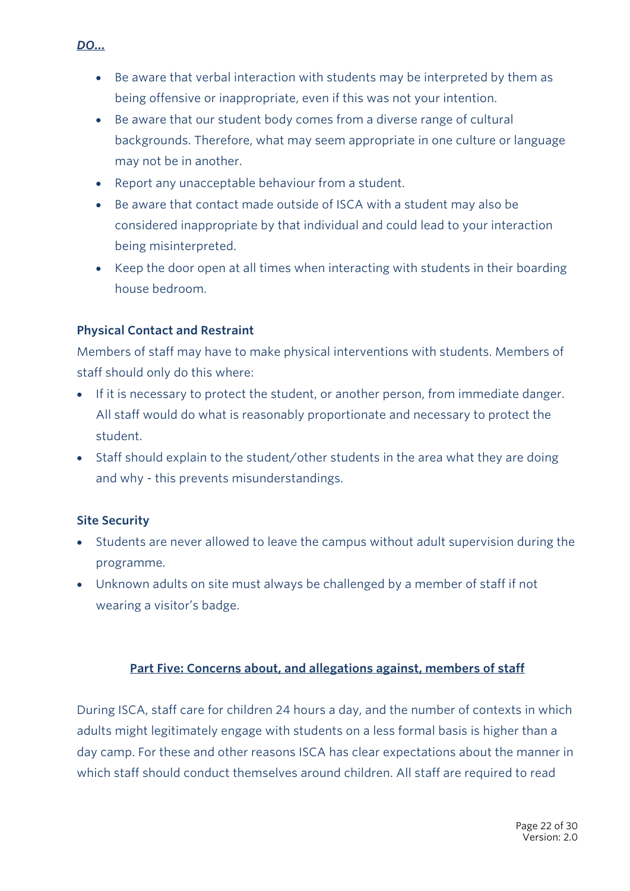- *DO…*
	- Be aware that verbal interaction with students may be interpreted by them as being offensive or inappropriate, even if this was not your intention.
	- Be aware that our student body comes from a diverse range of cultural backgrounds. Therefore, what may seem appropriate in one culture or language may not be in another.
	- Report any unacceptable behaviour from a student.
	- Be aware that contact made outside of ISCA with a student may also be considered inappropriate by that individual and could lead to your interaction being misinterpreted.
	- Keep the door open at all times when interacting with students in their boarding house bedroom.

#### **Physical Contact and Restraint**

Members of staff may have to make physical interventions with students. Members of staff should only do this where:

- If it is necessary to protect the student, or another person, from immediate danger. All staff would do what is reasonably proportionate and necessary to protect the student.
- Staff should explain to the student/other students in the area what they are doing and why - this prevents misunderstandings.

#### **Site Security**

- Students are never allowed to leave the campus without adult supervision during the programme.
- Unknown adults on site must always be challenged by a member of staff if not wearing a visitor's badge.

## **Part Five: Concerns about, and allegations against, members of staff**

During ISCA, staff care for children 24 hours a day, and the number of contexts in which adults might legitimately engage with students on a less formal basis is higher than a day camp. For these and other reasons ISCA has clear expectations about the manner in which staff should conduct themselves around children. All staff are required to read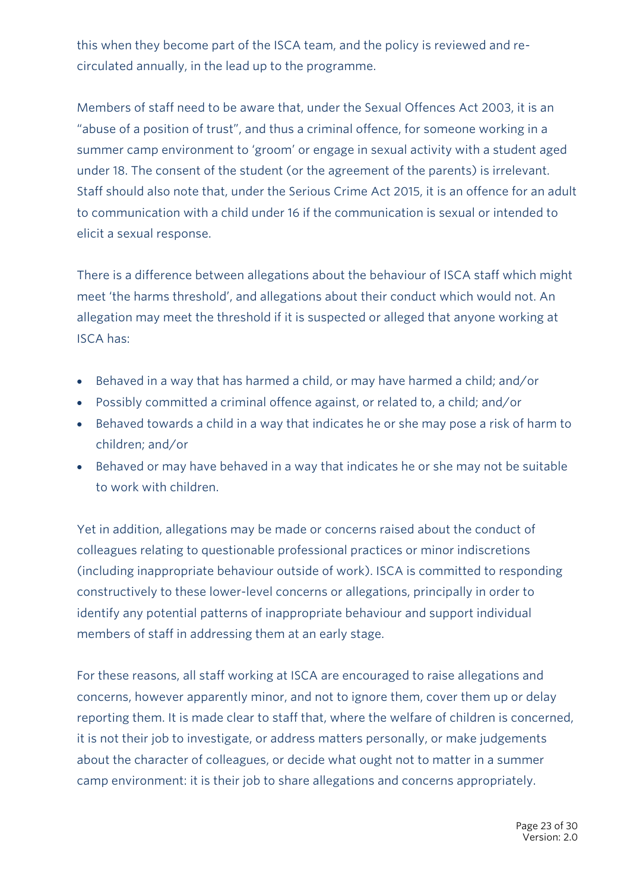this when they become part of the ISCA team, and the policy is reviewed and recirculated annually, in the lead up to the programme.

Members of staff need to be aware that, under the Sexual Offences Act 2003, it is an "abuse of a position of trust", and thus a criminal offence, for someone working in a summer camp environment to 'groom' or engage in sexual activity with a student aged under 18. The consent of the student (or the agreement of the parents) is irrelevant. Staff should also note that, under the Serious Crime Act 2015, it is an offence for an adult to communication with a child under 16 if the communication is sexual or intended to elicit a sexual response.

There is a difference between allegations about the behaviour of ISCA staff which might meet 'the harms threshold', and allegations about their conduct which would not. An allegation may meet the threshold if it is suspected or alleged that anyone working at ISCA has:

- Behaved in a way that has harmed a child, or may have harmed a child; and/or
- Possibly committed a criminal offence against, or related to, a child; and/or
- Behaved towards a child in a way that indicates he or she may pose a risk of harm to children; and/or
- Behaved or may have behaved in a way that indicates he or she may not be suitable to work with children.

Yet in addition, allegations may be made or concerns raised about the conduct of colleagues relating to questionable professional practices or minor indiscretions (including inappropriate behaviour outside of work). ISCA is committed to responding constructively to these lower-level concerns or allegations, principally in order to identify any potential patterns of inappropriate behaviour and support individual members of staff in addressing them at an early stage.

For these reasons, all staff working at ISCA are encouraged to raise allegations and concerns, however apparently minor, and not to ignore them, cover them up or delay reporting them. It is made clear to staff that, where the welfare of children is concerned, it is not their job to investigate, or address matters personally, or make judgements about the character of colleagues, or decide what ought not to matter in a summer camp environment: it is their job to share allegations and concerns appropriately.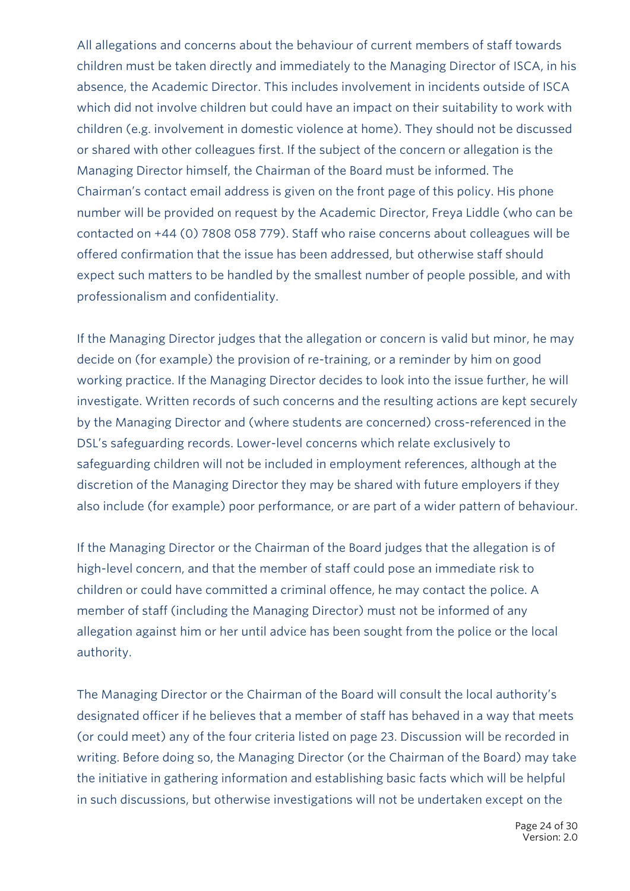All allegations and concerns about the behaviour of current members of staff towards children must be taken directly and immediately to the Managing Director of ISCA, in his absence, the Academic Director. This includes involvement in incidents outside of ISCA which did not involve children but could have an impact on their suitability to work with children (e.g. involvement in domestic violence at home). They should not be discussed or shared with other colleagues first. If the subject of the concern or allegation is the Managing Director himself, the Chairman of the Board must be informed. The Chairman's contact email address is given on the front page of this policy. His phone number will be provided on request by the Academic Director, Freya Liddle (who can be contacted on +44 (0) 7808 058 779). Staff who raise concerns about colleagues will be offered confirmation that the issue has been addressed, but otherwise staff should expect such matters to be handled by the smallest number of people possible, and with professionalism and confidentiality.

If the Managing Director judges that the allegation or concern is valid but minor, he may decide on (for example) the provision of re-training, or a reminder by him on good working practice. If the Managing Director decides to look into the issue further, he will investigate. Written records of such concerns and the resulting actions are kept securely by the Managing Director and (where students are concerned) cross-referenced in the DSL's safeguarding records. Lower-level concerns which relate exclusively to safeguarding children will not be included in employment references, although at the discretion of the Managing Director they may be shared with future employers if they also include (for example) poor performance, or are part of a wider pattern of behaviour.

If the Managing Director or the Chairman of the Board judges that the allegation is of high-level concern, and that the member of staff could pose an immediate risk to children or could have committed a criminal offence, he may contact the police. A member of staff (including the Managing Director) must not be informed of any allegation against him or her until advice has been sought from the police or the local authority.

The Managing Director or the Chairman of the Board will consult the local authority's designated officer if he believes that a member of staff has behaved in a way that meets (or could meet) any of the four criteria listed on page 23. Discussion will be recorded in writing. Before doing so, the Managing Director (or the Chairman of the Board) may take the initiative in gathering information and establishing basic facts which will be helpful in such discussions, but otherwise investigations will not be undertaken except on the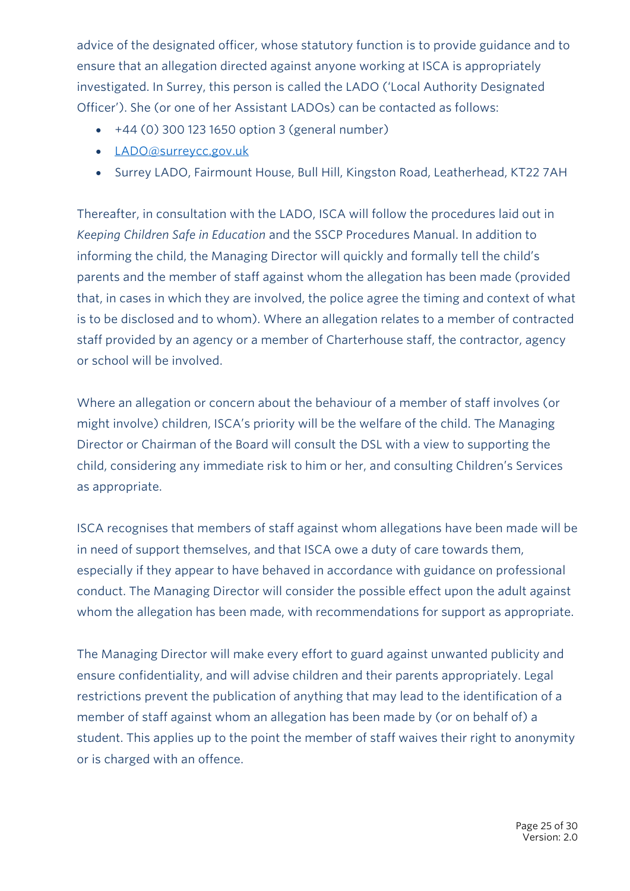advice of the designated officer, whose statutory function is to provide guidance and to ensure that an allegation directed against anyone working at ISCA is appropriately investigated. In Surrey, this person is called the LADO ('Local Authority Designated Officer'). She (or one of her Assistant LADOs) can be contacted as follows:

- $\bullet$  +44 (0) 300 123 1650 option 3 (general number)
- LADO@surreycc.gov.uk
- Surrey LADO, Fairmount House, Bull Hill, Kingston Road, Leatherhead, KT22 7AH

Thereafter, in consultation with the LADO, ISCA will follow the procedures laid out in *Keeping Children Safe in Education* and the SSCP Procedures Manual. In addition to informing the child, the Managing Director will quickly and formally tell the child's parents and the member of staff against whom the allegation has been made (provided that, in cases in which they are involved, the police agree the timing and context of what is to be disclosed and to whom). Where an allegation relates to a member of contracted staff provided by an agency or a member of Charterhouse staff, the contractor, agency or school will be involved.

Where an allegation or concern about the behaviour of a member of staff involves (or might involve) children, ISCA's priority will be the welfare of the child. The Managing Director or Chairman of the Board will consult the DSL with a view to supporting the child, considering any immediate risk to him or her, and consulting Children's Services as appropriate.

ISCA recognises that members of staff against whom allegations have been made will be in need of support themselves, and that ISCA owe a duty of care towards them, especially if they appear to have behaved in accordance with guidance on professional conduct. The Managing Director will consider the possible effect upon the adult against whom the allegation has been made, with recommendations for support as appropriate.

The Managing Director will make every effort to guard against unwanted publicity and ensure confidentiality, and will advise children and their parents appropriately. Legal restrictions prevent the publication of anything that may lead to the identification of a member of staff against whom an allegation has been made by (or on behalf of) a student. This applies up to the point the member of staff waives their right to anonymity or is charged with an offence.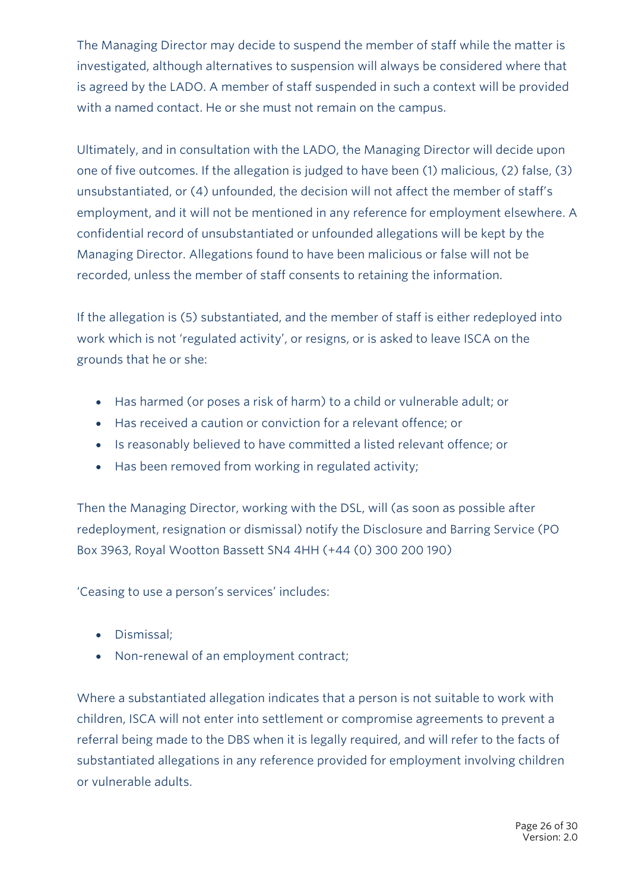The Managing Director may decide to suspend the member of staff while the matter is investigated, although alternatives to suspension will always be considered where that is agreed by the LADO. A member of staff suspended in such a context will be provided with a named contact. He or she must not remain on the campus.

Ultimately, and in consultation with the LADO, the Managing Director will decide upon one of five outcomes. If the allegation is judged to have been (1) malicious, (2) false, (3) unsubstantiated, or (4) unfounded, the decision will not affect the member of staff's employment, and it will not be mentioned in any reference for employment elsewhere. A confidential record of unsubstantiated or unfounded allegations will be kept by the Managing Director. Allegations found to have been malicious or false will not be recorded, unless the member of staff consents to retaining the information.

If the allegation is (5) substantiated, and the member of staff is either redeployed into work which is not 'regulated activity', or resigns, or is asked to leave ISCA on the grounds that he or she:

- Has harmed (or poses a risk of harm) to a child or vulnerable adult; or
- Has received a caution or conviction for a relevant offence; or
- Is reasonably believed to have committed a listed relevant offence; or
- Has been removed from working in regulated activity;

Then the Managing Director, working with the DSL, will (as soon as possible after redeployment, resignation or dismissal) notify the Disclosure and Barring Service (PO Box 3963, Royal Wootton Bassett SN4 4HH (+44 (0) 300 200 190)

'Ceasing to use a person's services' includes:

- Dismissal;
- Non-renewal of an employment contract;

Where a substantiated allegation indicates that a person is not suitable to work with children, ISCA will not enter into settlement or compromise agreements to prevent a referral being made to the DBS when it is legally required, and will refer to the facts of substantiated allegations in any reference provided for employment involving children or vulnerable adults.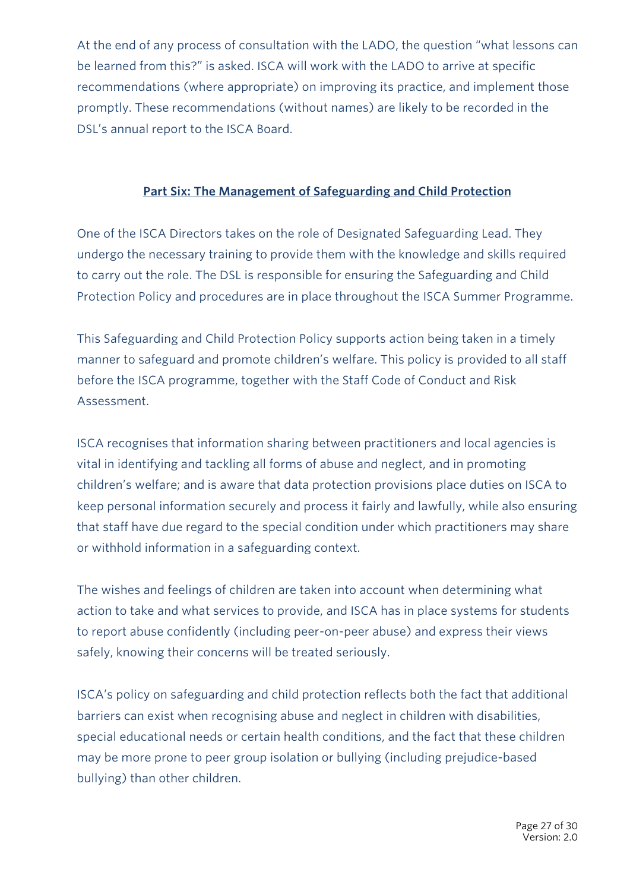At the end of any process of consultation with the LADO, the question "what lessons can be learned from this?" is asked. ISCA will work with the LADO to arrive at specific recommendations (where appropriate) on improving its practice, and implement those promptly. These recommendations (without names) are likely to be recorded in the DSL's annual report to the ISCA Board.

#### **Part Six: The Management of Safeguarding and Child Protection**

One of the ISCA Directors takes on the role of Designated Safeguarding Lead. They undergo the necessary training to provide them with the knowledge and skills required to carry out the role. The DSL is responsible for ensuring the Safeguarding and Child Protection Policy and procedures are in place throughout the ISCA Summer Programme.

This Safeguarding and Child Protection Policy supports action being taken in a timely manner to safeguard and promote children's welfare. This policy is provided to all staff before the ISCA programme, together with the Staff Code of Conduct and Risk Assessment.

ISCA recognises that information sharing between practitioners and local agencies is vital in identifying and tackling all forms of abuse and neglect, and in promoting children's welfare; and is aware that data protection provisions place duties on ISCA to keep personal information securely and process it fairly and lawfully, while also ensuring that staff have due regard to the special condition under which practitioners may share or withhold information in a safeguarding context.

The wishes and feelings of children are taken into account when determining what action to take and what services to provide, and ISCA has in place systems for students to report abuse confidently (including peer-on-peer abuse) and express their views safely, knowing their concerns will be treated seriously.

ISCA's policy on safeguarding and child protection reflects both the fact that additional barriers can exist when recognising abuse and neglect in children with disabilities, special educational needs or certain health conditions, and the fact that these children may be more prone to peer group isolation or bullying (including prejudice-based bullying) than other children.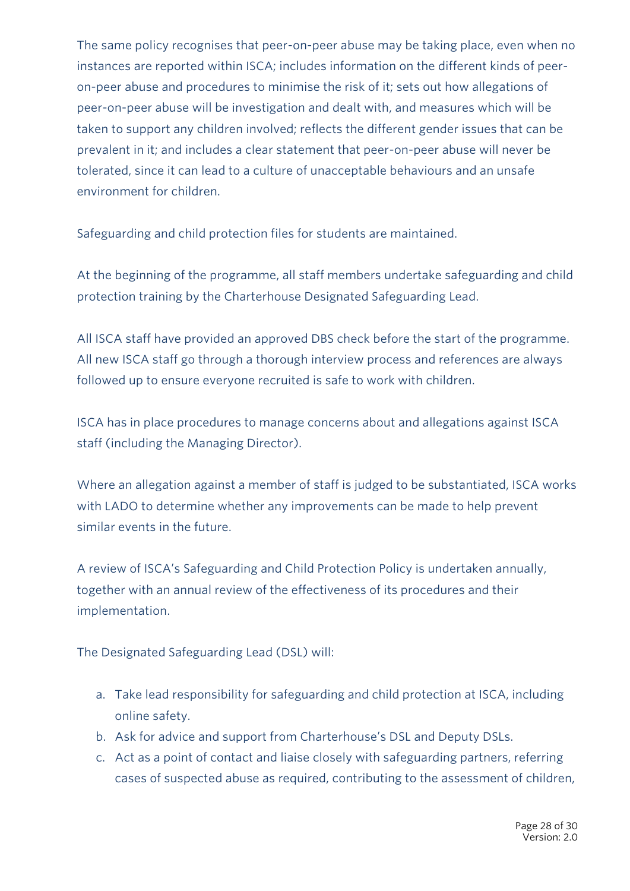The same policy recognises that peer-on-peer abuse may be taking place, even when no instances are reported within ISCA; includes information on the different kinds of peeron-peer abuse and procedures to minimise the risk of it; sets out how allegations of peer-on-peer abuse will be investigation and dealt with, and measures which will be taken to support any children involved; reflects the different gender issues that can be prevalent in it; and includes a clear statement that peer-on-peer abuse will never be tolerated, since it can lead to a culture of unacceptable behaviours and an unsafe environment for children.

Safeguarding and child protection files for students are maintained.

At the beginning of the programme, all staff members undertake safeguarding and child protection training by the Charterhouse Designated Safeguarding Lead.

All ISCA staff have provided an approved DBS check before the start of the programme. All new ISCA staff go through a thorough interview process and references are always followed up to ensure everyone recruited is safe to work with children.

ISCA has in place procedures to manage concerns about and allegations against ISCA staff (including the Managing Director).

Where an allegation against a member of staff is judged to be substantiated, ISCA works with LADO to determine whether any improvements can be made to help prevent similar events in the future.

A review of ISCA's Safeguarding and Child Protection Policy is undertaken annually, together with an annual review of the effectiveness of its procedures and their implementation.

The Designated Safeguarding Lead (DSL) will:

- a. Take lead responsibility for safeguarding and child protection at ISCA, including online safety.
- b. Ask for advice and support from Charterhouse's DSL and Deputy DSLs.
- c. Act as a point of contact and liaise closely with safeguarding partners, referring cases of suspected abuse as required, contributing to the assessment of children,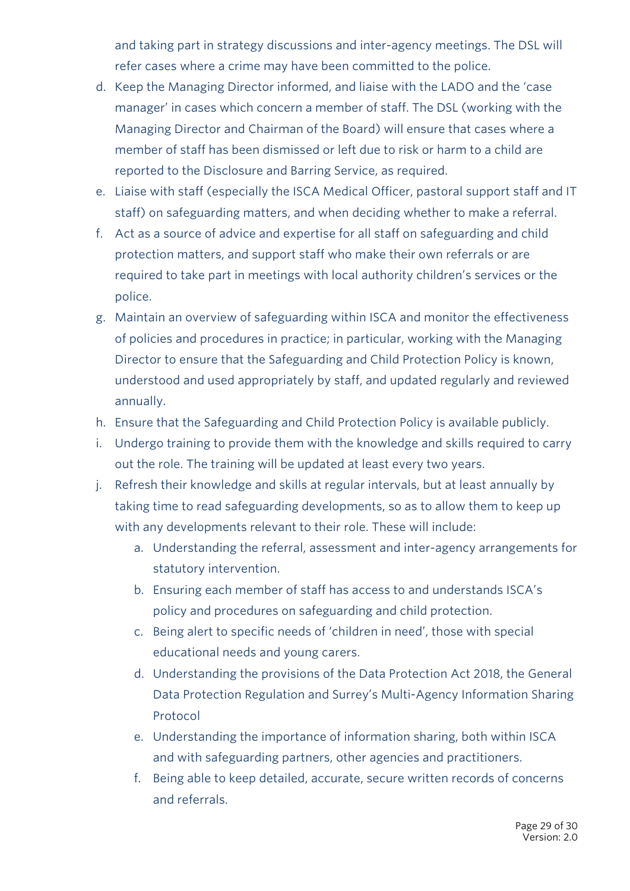and taking part in strategy discussions and inter-agency meetings. The DSL will refer cases where a crime may have been committed to the police.

- d. Keep the Managing Director informed, and liaise with the LADO and the 'case manager' in cases which concern a member of staff. The DSL (working with the Managing Director and Chairman of the Board) will ensure that cases where a member of staff has been dismissed or left due to risk or harm to a child are reported to the Disclosure and Barring Service, as required.
- e. Liaise with staff (especially the ISCA Medical Officer, pastoral support staff and IT staff) on safeguarding matters, and when deciding whether to make a referral.
- f. Act as a source of advice and expertise for all staff on safeguarding and child protection matters, and support staff who make their own referrals or are required to take part in meetings with local authority children's services or the police.
- g. Maintain an overview of safeguarding within ISCA and monitor the effectiveness of policies and procedures in practice; in particular, working with the Managing Director to ensure that the Safeguarding and Child Protection Policy is known, understood and used appropriately by staff, and updated regularly and reviewed annually.
- h. Ensure that the Safeguarding and Child Protection Policy is available publicly.
- i. Undergo training to provide them with the knowledge and skills required to carry out the role. The training will be updated at least every two years.
- j. Refresh their knowledge and skills at regular intervals, but at least annually by taking time to read safeguarding developments, so as to allow them to keep up with any developments relevant to their role. These will include:
	- a. Understanding the referral, assessment and inter-agency arrangements for statutory intervention.
	- b. Ensuring each member of staff has access to and understands ISCA's policy and procedures on safeguarding and child protection.
	- c. Being alert to specific needs of 'children in need', those with special educational needs and young carers.
	- d. Understanding the provisions of the Data Protection Act 2018, the General Data Protection Regulation and Surrey's Multi-Agency Information Sharing Protocol
	- e. Understanding the importance of information sharing, both within ISCA and with safeguarding partners, other agencies and practitioners.
	- f. Being able to keep detailed, accurate, secure written records of concerns and referrals.